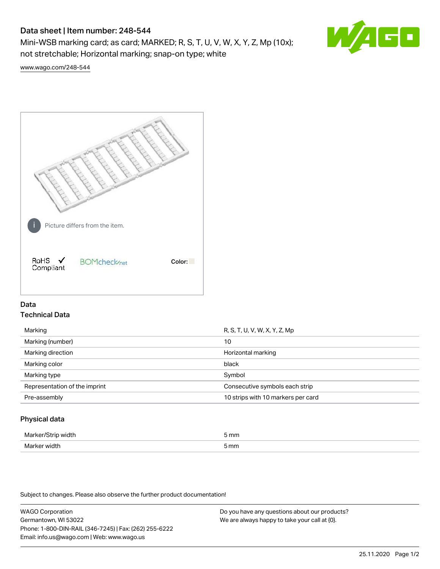# Data sheet | Item number: 248-544

Mini-WSB marking card; as card; MARKED; R, S, T, U, V, W, X, Y, Z, Mp (10x); not stretchable; Horizontal marking; snap-on type; white



[www.wago.com/248-544](http://www.wago.com/248-544)



# Data Technical Data

| R, S, T, U, V, W, X, Y, Z, Mp      |
|------------------------------------|
| 10                                 |
| Horizontal marking                 |
| black                              |
| Symbol                             |
| Consecutive symbols each strip     |
| 10 strips with 10 markers per card |
|                                    |

## Physical data

| Mar                      | 5 mm |
|--------------------------|------|
| M <sub>cr</sub><br>width | 5 mm |

Subject to changes. Please also observe the further product documentation!

WAGO Corporation Germantown, WI 53022 Phone: 1-800-DIN-RAIL (346-7245) | Fax: (262) 255-6222 Email: info.us@wago.com | Web: www.wago.us Do you have any questions about our products? We are always happy to take your call at {0}.